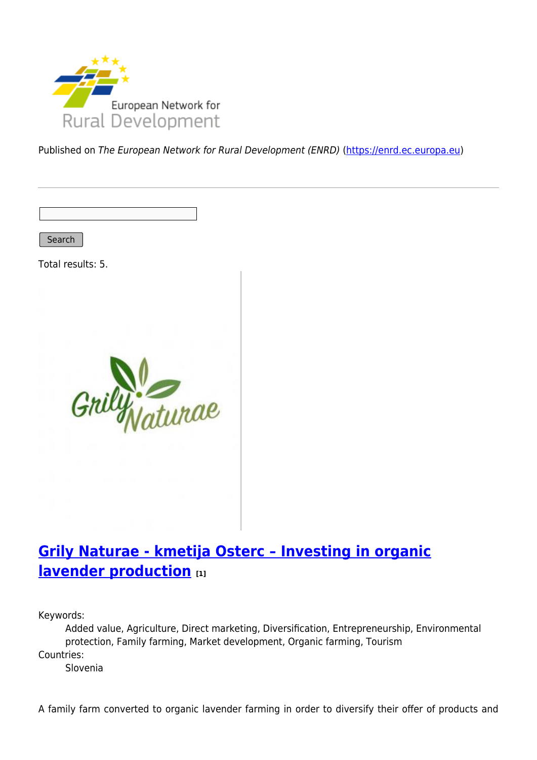

Published on The European Network for Rural Development (ENRD) [\(https://enrd.ec.europa.eu](https://enrd.ec.europa.eu))

Search

Total results: 5.



## **[Grily Naturae - kmetija Osterc – Investing in organic](https://enrd.ec.europa.eu/projects-practice/grily-naturae-kmetija-osterc-investing-organic-lavender-production_en) [lavender production](https://enrd.ec.europa.eu/projects-practice/grily-naturae-kmetija-osterc-investing-organic-lavender-production_en) [1]**

Keywords:

Added value, Agriculture, Direct marketing, Diversification, Entrepreneurship, Environmental protection, Family farming, Market development, Organic farming, Tourism Countries:

Slovenia

A family farm converted to organic lavender farming in order to diversify their offer of products and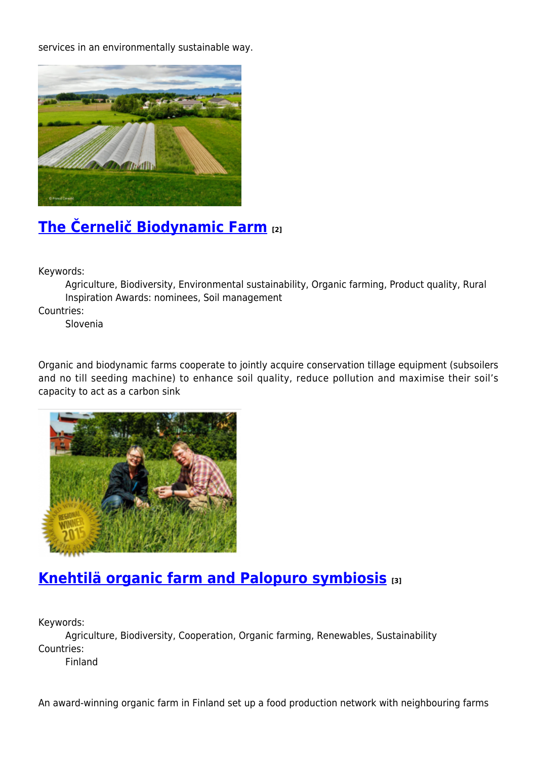services in an environmentally sustainable way.



# **[The Černelič Biodynamic Farm](https://enrd.ec.europa.eu/projects-practice/cernelic-biodynamic-farm-0_en) [2]**

Keywords:

Agriculture, Biodiversity, Environmental sustainability, Organic farming, Product quality, Rural Inspiration Awards: nominees, Soil management

Countries:

Slovenia

Organic and biodynamic farms cooperate to jointly acquire conservation tillage equipment (subsoilers and no till seeding machine) to enhance soil quality, reduce pollution and maximise their soil's capacity to act as a carbon sink



## **[Knehtilä organic farm and Palopuro symbiosis](https://enrd.ec.europa.eu/projects-practice/knehtila-organic-farm-and-palopuro-symbiosis_en) [3]**

Keywords:

Agriculture, Biodiversity, Cooperation, Organic farming, Renewables, Sustainability Countries:

Finland

An award-winning organic farm in Finland set up a food production network with neighbouring farms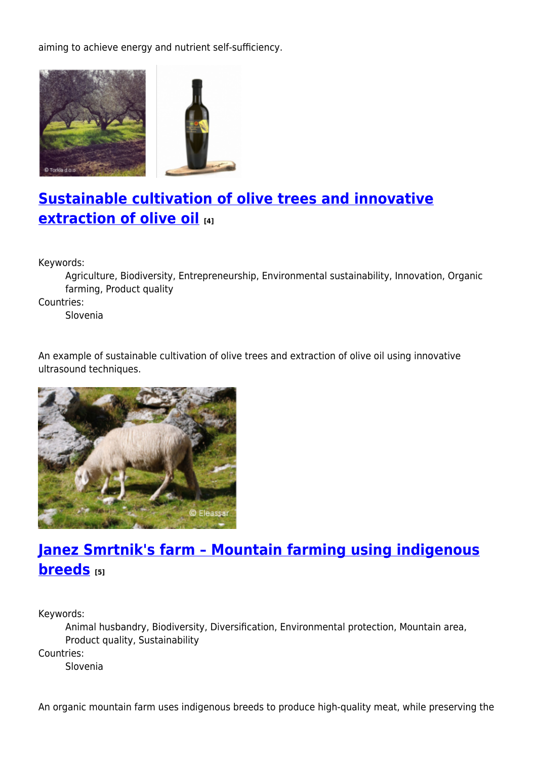aiming to achieve energy and nutrient self-sufficiency.



# **[Sustainable cultivation of olive trees and innovative](https://enrd.ec.europa.eu/projects-practice/sustainable-cultivation-olive-trees-and-innovative-extraction-olive-oil_en) [extraction of olive oil](https://enrd.ec.europa.eu/projects-practice/sustainable-cultivation-olive-trees-and-innovative-extraction-olive-oil_en) [4]**

Keywords:

Agriculture, Biodiversity, Entrepreneurship, Environmental sustainability, Innovation, Organic farming, Product quality

Countries:

Slovenia

An example of sustainable cultivation of olive trees and extraction of olive oil using innovative ultrasound techniques.



# **[Janez Smrtnik's farm – Mountain farming using indigenous](https://enrd.ec.europa.eu/projects-practice/janez-smrtniks-farm-mountain-farming-using-indigenous-breeds_en) [breeds](https://enrd.ec.europa.eu/projects-practice/janez-smrtniks-farm-mountain-farming-using-indigenous-breeds_en) [5]**

Keywords:

Animal husbandry, Biodiversity, Diversification, Environmental protection, Mountain area, Product quality, Sustainability Countries: Slovenia

An organic mountain farm uses indigenous breeds to produce high-quality meat, while preserving the